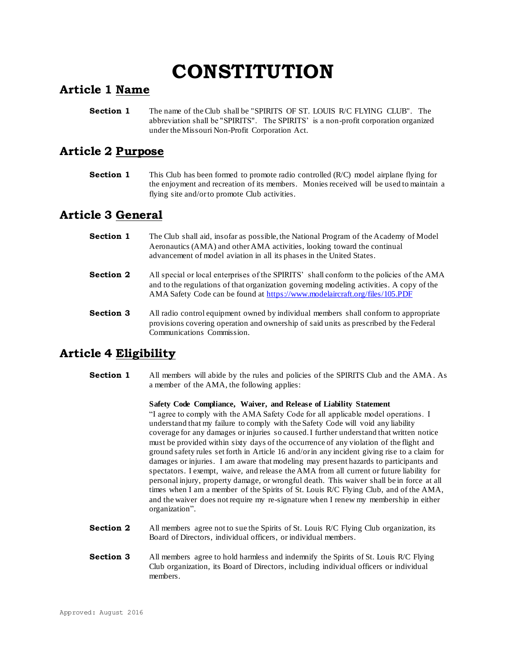# **CONSTITUTION**

## **Article 1 Name**

**Section 1** The name of the Club shall be "SPIRITS OF ST. LOUIS R/C FLYING CLUB". The abbreviation shall be "SPIRITS". The SPIRITS' is a non-profit corporation organized under the Missouri Non-Profit Corporation Act.

# **Article 2 Purpose**

**Section 1** This Club has been formed to promote radio controlled (R/C) model airplane flying for the enjoyment and recreation of its members. Monies received will be used to maintain a flying site and/or to promote Club activities.

# **Article 3 General**

- **Section 1** The Club shall aid, insofar as possible, the National Program of the Academy of Model Aeronautics (AMA) and other AMA activities, looking toward the continual advancement of model aviation in all its phases in the United States.
- **Section 2** All special or local enterprises of the SPIRITS' shall conform to the policies of the AMA and to the regulations of that organization governing modeling activities. A copy of the AMA Safety Code can be found a[t https://www.modelaircraft.org/files/105.PDF](https://www.modelaircraft.org/files/105.PDF)
- **Section 3** All radio control equipment owned by individual members shall conform to appropriate provisions covering operation and ownership of said units as prescribed by the Federal Communications Commission.

# **Article 4 Eligibility**

**Section 1** All members will abide by the rules and policies of the SPIRITS Club and the AMA*.* As a member of the AMA, the following applies:

#### **Safety Code Compliance, Waiver, and Release of Liability Statement**

"I agree to comply with the AMA Safety Code for all applicable model operations. I understand that my failure to comply with the Safety Code will void any liability coverage for any damages or injuries so caused. I further understand that written notice must be provided within sixty days of the occurrence of any violation of the flight and ground safety rules set forth in Article 16 and/or in any incident giving rise to a claim for damages or injuries. I am aware that modeling may present hazards to participants and spectators. I exempt, waive, and release the AMA from all current or future liability for personal injury, property damage, or wrongful death. This waiver shall be in force at all times when I am a member of the Spirits of St. Louis R/C Flying Club, and of the AMA, and the waiver does not require my re-signature when I renew my membership in either organization".

- **Section 2** All members agree not to sue the Spirits of St. Louis R/C Flying Club organization, its Board of Directors, individual officers, or individual members.
- **Section 3** All members agree to hold harmless and indemnify the Spirits of St. Louis R/C Flying Club organization, its Board of Directors, including individual officers or individual members.